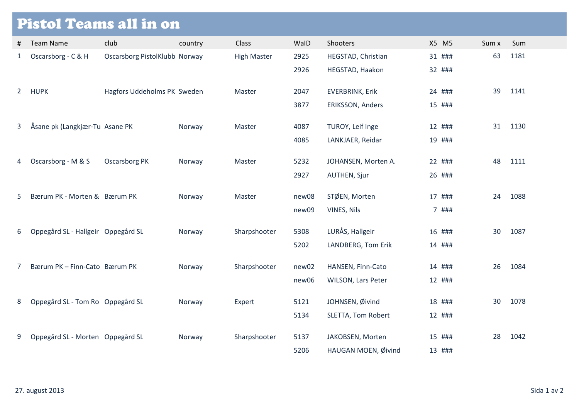## Pistol Teams all in on

| Ħ  | <b>Team Name</b>                   | club                          | country | <b>Class</b>       | WalD         | Shooters                                   | X5 M5            | Sum x | Sum  |
|----|------------------------------------|-------------------------------|---------|--------------------|--------------|--------------------------------------------|------------------|-------|------|
| 1  | Oscarsborg - C & H                 | Oscarsborg PistolKlubb Norway |         | <b>High Master</b> | 2925         | HEGSTAD, Christian                         | 31 ###           | 63    | 1181 |
|    |                                    |                               |         |                    | 2926         | HEGSTAD, Haakon                            | 32 ###           |       |      |
|    | 2 HUPK                             | Hagfors Uddeholms PK Sweden   |         | Master             | 2047         | <b>EVERBRINK, Erik</b>                     | 24 ###           | 39    | 1141 |
|    |                                    |                               |         |                    | 3877         | ERIKSSON, Anders                           | 15 ###           |       |      |
| 3  | Åsane pk (Langkjær-Tu Asane PK     |                               | Norway  | Master             | 4087         | TUROY, Leif Inge                           | 12 ###           | 31    | 1130 |
|    |                                    |                               |         |                    | 4085         | LANKJAER, Reidar                           | 19 ###           |       |      |
|    |                                    |                               |         |                    |              |                                            |                  |       |      |
| 4  | Oscarsborg - M & S                 | <b>Oscarsborg PK</b>          | Norway  | Master             | 5232<br>2927 | JOHANSEN, Morten A.<br><b>AUTHEN, Sjur</b> | 22 ###<br>26 ### | 48    | 1111 |
|    |                                    |                               |         |                    |              |                                            |                  |       |      |
| 5. | Bærum PK - Morten & Bærum PK       |                               | Norway  | Master             | new08        | STØEN, Morten                              | 17 ###           | 24    | 1088 |
|    |                                    |                               |         |                    | new09        | VINES, Nils                                | 7 ###            |       |      |
| 6  | Oppegård SL - Hallgeir Oppegård SL |                               | Norway  | Sharpshooter       | 5308         | LURÅS, Hallgeir                            | 16 ###           | 30    | 1087 |
|    |                                    |                               |         |                    | 5202         | LANDBERG, Tom Erik                         | 14 ###           |       |      |
| 7  | Bærum PK - Finn-Cato Bærum PK      |                               | Norway  | Sharpshooter       | new02        | HANSEN, Finn-Cato                          | 14 ###           | 26    | 1084 |
|    |                                    |                               |         |                    | new06        | WILSON, Lars Peter                         | 12 ###           |       |      |
|    |                                    |                               |         |                    |              |                                            |                  |       |      |
| 8  | Oppegård SL - Tom Ro Oppegård SL   |                               | Norway  | Expert             | 5121         | JOHNSEN, Øivind                            | 18 ###           | 30    | 1078 |
|    |                                    |                               |         |                    | 5134         | SLETTA, Tom Robert                         | 12 ###           |       |      |
| 9  | Oppegård SL - Morten Oppegård SL   |                               | Norway  | Sharpshooter       | 5137         | JAKOBSEN, Morten                           | 15 ###           | 28    | 1042 |
|    |                                    |                               |         |                    | 5206         | HAUGAN MOEN, Øivind                        | 13 ###           |       |      |